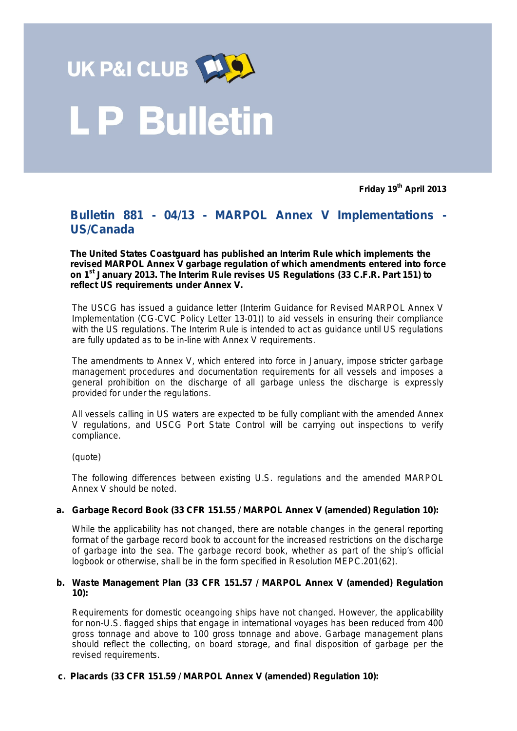

# **P Bulletin**

**Friday 19th April 2013**

## **Bulletin 881 - 04/13 - MARPOL Annex V Implementations - US/Canada**

**The United States Coastguard has published an Interim Rule which implements the revised MARPOL Annex V garbage regulation of which amendments entered into force on 1st January 2013. The Interim Rule revises US Regulations (33 C.F.R. Part 151) to reflect US requirements under Annex V.**

The USCG has issued a guidance letter (Interim Guidance for Revised MARPOL Annex V Implementation (CG-CVC Policy Letter 13-01)) to aid vessels in ensuring their compliance with the US regulations. The Interim Rule is intended to act as guidance until US regulations are fully updated as to be in-line with Annex V requirements.

The amendments to Annex V, which entered into force in January, impose stricter garbage management procedures and documentation requirements for all vessels and imposes a general prohibition on the discharge of all garbage unless the discharge is expressly provided for under the regulations.

All vessels calling in US waters are expected to be fully compliant with the amended Annex V regulations, and USCG Port State Control will be carrying out inspections to verify compliance.

*(quote)*

The following differences between existing U.S. regulations and the amended MARPOL Annex V should be noted.

#### **a. Garbage Record Book (33 CFR 151.55 / MARPOL Annex V (amended) Regulation 10):**

While the applicability has not changed, there are notable changes in the general reporting format of the garbage record book to account for the increased restrictions on the discharge of garbage into the sea. The garbage record book, whether as part of the ship's official logbook or otherwise, shall be in the form specified in Resolution MEPC.201(62).

#### **b. Waste Management Plan (33 CFR 151.57 / MARPOL Annex V (amended) Regulation 10):**

Requirements for domestic oceangoing ships have not changed. However, the applicability for non-U.S. flagged ships that engage in international voyages has been reduced from 400 gross tonnage and above to 100 gross tonnage and above. Garbage management plans should reflect the collecting, on board storage, and final disposition of garbage per the revised requirements.

#### **c. Placards (33 CFR 151.59 / MARPOL Annex V (amended) Regulation 10):**